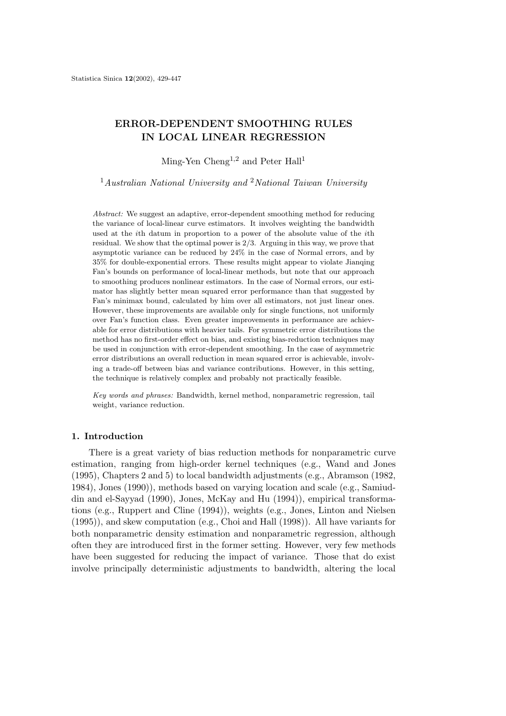# **ERROR-DEPENDENT SMOOTHING RULES IN LOCAL LINEAR REGRESSION**

Ming-Yen Cheng<sup>1,2</sup> and Peter Hall<sup>1</sup>

<sup>1</sup>*Australian National University and* <sup>2</sup>*National Taiwan University*

*Abstract:* We suggest an adaptive, error-dependent smoothing method for reducing the variance of local-linear curve estimators. It involves weighting the bandwidth used at the *i*th datum in proportion to a power of the absolute value of the *i*th residual. We show that the optimal power is 2*/*3. Arguing in this way, we prove that asymptotic variance can be reduced by 24% in the case of Normal errors, and by 35% for double-exponential errors. These results might appear to violate Jianqing Fan's bounds on performance of local-linear methods, but note that our approach to smoothing produces nonlinear estimators. In the case of Normal errors, our estimator has slightly better mean squared error performance than that suggested by Fan's minimax bound, calculated by him over all estimators, not just linear ones. However, these improvements are available only for single functions, not uniformly over Fan's function class. Even greater improvements in performance are achievable for error distributions with heavier tails. For symmetric error distributions the method has no first-order effect on bias, and existing bias-reduction techniques may be used in conjunction with error-dependent smoothing. In the case of asymmetric error distributions an overall reduction in mean squared error is achievable, involving a trade-off between bias and variance contributions. However, in this setting, the technique is relatively complex and probably not practically feasible.

*Key words and phrases:* Bandwidth, kernel method, nonparametric regression, tail weight, variance reduction.

### **1. Introduction**

There is a great variety of bias reduction methods for nonparametric curve estimation, ranging from high-order kernel techniques (e.g., Wand and Jones (1995), Chapters 2 and 5) to local bandwidth adjustments (e.g., Abramson (1982, 1984), Jones (1990)), methods based on varying location and scale (e.g., Samiuddin and el-Sayyad (1990), Jones, McKay and Hu (1994)), empirical transformations (e.g., Ruppert and Cline (1994)), weights (e.g., Jones, Linton and Nielsen (1995)), and skew computation (e.g., Choi and Hall (1998)). All have variants for both nonparametric density estimation and nonparametric regression, although often they are introduced first in the former setting. However, very few methods have been suggested for reducing the impact of variance. Those that do exist involve principally deterministic adjustments to bandwidth, altering the local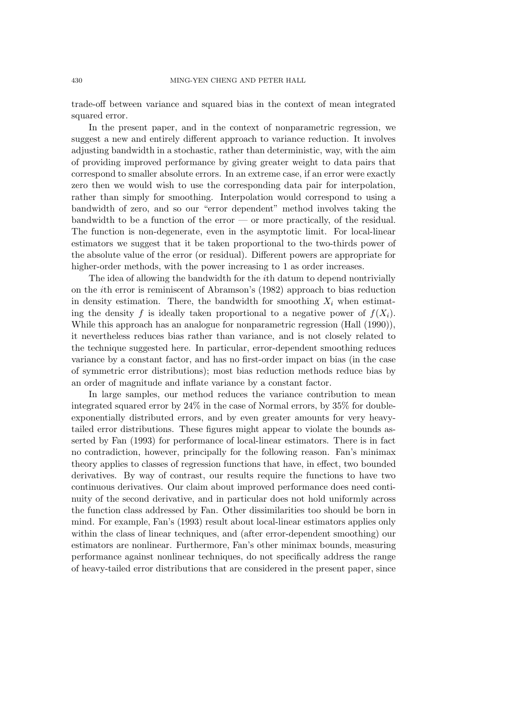trade-off between variance and squared bias in the context of mean integrated squared error.

In the present paper, and in the context of nonparametric regression, we suggest a new and entirely different approach to variance reduction. It involves adjusting bandwidth in a stochastic, rather than deterministic, way, with the aim of providing improved performance by giving greater weight to data pairs that correspond to smaller absolute errors. In an extreme case, if an error were exactly zero then we would wish to use the corresponding data pair for interpolation, rather than simply for smoothing. Interpolation would correspond to using a bandwidth of zero, and so our "error dependent" method involves taking the bandwidth to be a function of the error — or more practically, of the residual. The function is non-degenerate, even in the asymptotic limit. For local-linear estimators we suggest that it be taken proportional to the two-thirds power of the absolute value of the error (or residual). Different powers are appropriate for higher-order methods, with the power increasing to 1 as order increases.

The idea of allowing the bandwidth for the ith datum to depend nontrivially on the ith error is reminiscent of Abramson's (1982) approach to bias reduction in density estimation. There, the bandwidth for smoothing  $X_i$  when estimating the density f is ideally taken proportional to a negative power of  $f(X_i)$ . While this approach has an analogue for nonparametric regression (Hall (1990)), it nevertheless reduces bias rather than variance, and is not closely related to the technique suggested here. In particular, error-dependent smoothing reduces variance by a constant factor, and has no first-order impact on bias (in the case of symmetric error distributions); most bias reduction methods reduce bias by an order of magnitude and inflate variance by a constant factor.

In large samples, our method reduces the variance contribution to mean integrated squared error by 24% in the case of Normal errors, by 35% for doubleexponentially distributed errors, and by even greater amounts for very heavytailed error distributions. These figures might appear to violate the bounds asserted by Fan (1993) for performance of local-linear estimators. There is in fact no contradiction, however, principally for the following reason. Fan's minimax theory applies to classes of regression functions that have, in effect, two bounded derivatives. By way of contrast, our results require the functions to have two continuous derivatives. Our claim about improved performance does need continuity of the second derivative, and in particular does not hold uniformly across the function class addressed by Fan. Other dissimilarities too should be born in mind. For example, Fan's (1993) result about local-linear estimators applies only within the class of linear techniques, and (after error-dependent smoothing) our estimators are nonlinear. Furthermore, Fan's other minimax bounds, measuring performance against nonlinear techniques, do not specifically address the range of heavy-tailed error distributions that are considered in the present paper, since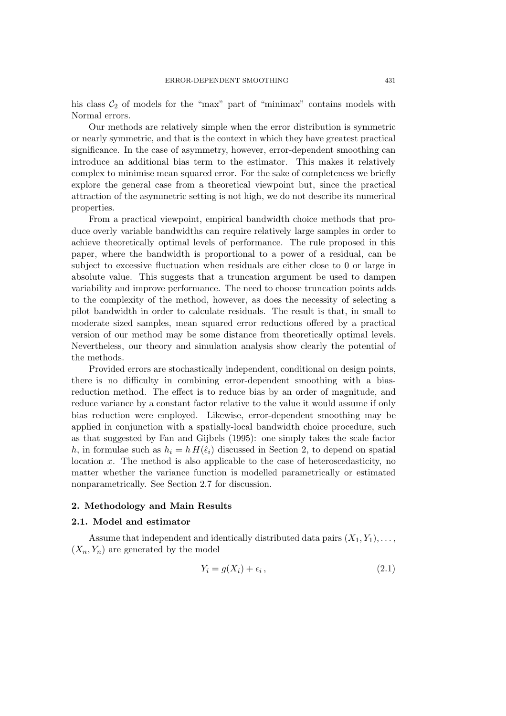his class  $C_2$  of models for the "max" part of "minimax" contains models with Normal errors.

Our methods are relatively simple when the error distribution is symmetric or nearly symmetric, and that is the context in which they have greatest practical significance. In the case of asymmetry, however, error-dependent smoothing can introduce an additional bias term to the estimator. This makes it relatively complex to minimise mean squared error. For the sake of completeness we briefly explore the general case from a theoretical viewpoint but, since the practical attraction of the asymmetric setting is not high, we do not describe its numerical properties.

From a practical viewpoint, empirical bandwidth choice methods that produce overly variable bandwidths can require relatively large samples in order to achieve theoretically optimal levels of performance. The rule proposed in this paper, where the bandwidth is proportional to a power of a residual, can be subject to excessive fluctuation when residuals are either close to 0 or large in absolute value. This suggests that a truncation argument be used to dampen variability and improve performance. The need to choose truncation points adds to the complexity of the method, however, as does the necessity of selecting a pilot bandwidth in order to calculate residuals. The result is that, in small to moderate sized samples, mean squared error reductions offered by a practical version of our method may be some distance from theoretically optimal levels. Nevertheless, our theory and simulation analysis show clearly the potential of the methods.

Provided errors are stochastically independent, conditional on design points, there is no difficulty in combining error-dependent smoothing with a biasreduction method. The effect is to reduce bias by an order of magnitude, and reduce variance by a constant factor relative to the value it would assume if only bias reduction were employed. Likewise, error-dependent smoothing may be applied in conjunction with a spatially-local bandwidth choice procedure, such as that suggested by Fan and Gijbels (1995): one simply takes the scale factor h, in formulae such as  $h_i = h H(\hat{\epsilon}_i)$  discussed in Section 2, to depend on spatial location  $x$ . The method is also applicable to the case of heteroscedasticity, no matter whether the variance function is modelled parametrically or estimated nonparametrically. See Section 2.7 for discussion.

# **2. Methodology and Main Results**

### **2.1. Model and estimator**

Assume that independent and identically distributed data pairs  $(X_1, Y_1), \ldots$ ,  $(X_n, Y_n)$  are generated by the model

$$
Y_i = g(X_i) + \epsilon_i, \qquad (2.1)
$$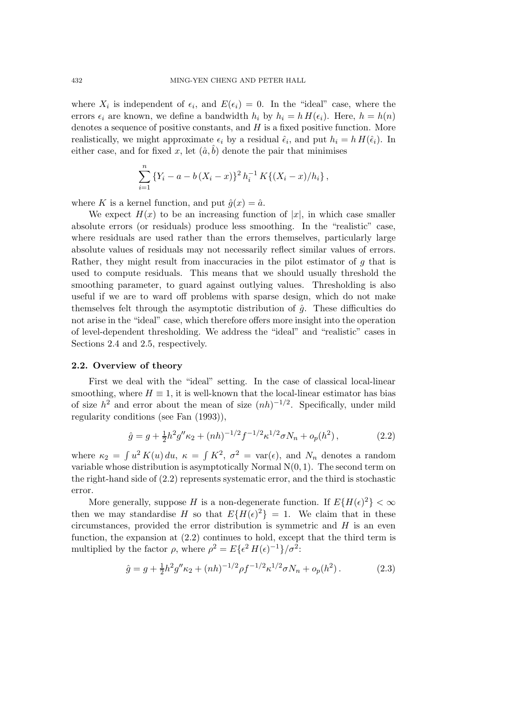where  $X_i$  is independent of  $\epsilon_i$ , and  $E(\epsilon_i) = 0$ . In the "ideal" case, where the errors  $\epsilon_i$  are known, we define a bandwidth  $h_i$  by  $h_i = h H(\epsilon_i)$ . Here,  $h = h(n)$ denotes a sequence of positive constants, and  $H$  is a fixed positive function. More realistically, we might approximate  $\epsilon_i$  by a residual  $\hat{\epsilon}_i$ , and put  $h_i = h H(\hat{\epsilon}_i)$ . In either case, and for fixed x, let  $(\hat{a}, \hat{b})$  denote the pair that minimises

$$
\sum_{i=1}^{n} \{Y_i - a - b(X_i - x)\}^2 h_i^{-1} K\{(X_i - x)/h_i\},\,
$$

where K is a kernel function, and put  $\hat{q}(x)=\hat{a}$ .

We expect  $H(x)$  to be an increasing function of |x|, in which case smaller absolute errors (or residuals) produce less smoothing. In the "realistic" case, where residuals are used rather than the errors themselves, particularly large absolute values of residuals may not necessarily reflect similar values of errors. Rather, they might result from inaccuracies in the pilot estimator of  $g$  that is used to compute residuals. This means that we should usually threshold the smoothing parameter, to guard against outlying values. Thresholding is also useful if we are to ward off problems with sparse design, which do not make themselves felt through the asymptotic distribution of  $\hat{g}$ . These difficulties do not arise in the "ideal" case, which therefore offers more insight into the operation of level-dependent thresholding. We address the "ideal" and "realistic" cases in Sections 2.4 and 2.5, respectively.

#### **2.2. Overview of theory**

First we deal with the "ideal" setting. In the case of classical local-linear smoothing, where  $H \equiv 1$ , it is well-known that the local-linear estimator has bias of size  $h^2$  and error about the mean of size  $(nh)^{-1/2}$ . Specifically, under mild regularity conditions (see Fan (1993)),

$$
\hat{g} = g + \frac{1}{2}h^2 g'' \kappa_2 + (nh)^{-1/2} f^{-1/2} \kappa^{1/2} \sigma N_n + o_p(h^2) \,, \tag{2.2}
$$

where  $\kappa_2 = \int u^2 K(u) du$ ,  $\kappa = \int K^2$ ,  $\sigma^2 = \text{var}(\epsilon)$ , and  $N_n$  denotes a random variable whose distribution is asymptotically Normal  $N(0, 1)$ . The second term on the right-hand side of (2.2) represents systematic error, and the third is stochastic error.

More generally, suppose H is a non-degenerate function. If  $E\{H(\epsilon)^2\} < \infty$ then we may standardise H so that  $E\{H(\epsilon)^2\} = 1$ . We claim that in these circumstances, provided the error distribution is symmetric and  $H$  is an even function, the expansion at (2.2) continues to hold, except that the third term is multiplied by the factor  $\rho$ , where  $\rho^2 = E\{\epsilon^2 H(\epsilon)^{-1}\}/\sigma^2$ :

$$
\hat{g} = g + \frac{1}{2}h^2 g'' \kappa_2 + (nh)^{-1/2} \rho f^{-1/2} \kappa^{1/2} \sigma N_n + o_p(h^2).
$$
 (2.3)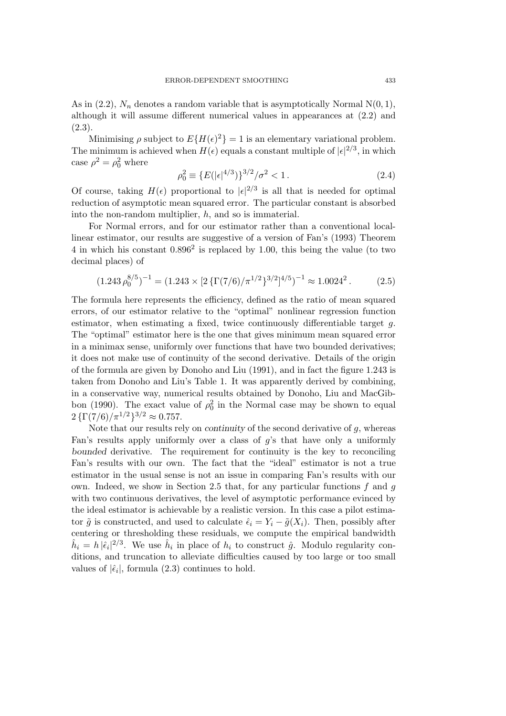As in (2.2),  $N_n$  denotes a random variable that is asymptotically Normal N(0, 1), although it will assume different numerical values in appearances at (2.2) and  $(2.3).$ 

Minimising  $\rho$  subject to  $E\{H(\epsilon)^2\} = 1$  is an elementary variational problem. The minimum is achieved when  $H(\epsilon)$  equals a constant multiple of  $|\epsilon|^{2/3}$ , in which case  $\rho^2 = \rho_0^2$  where

$$
\rho_0^2 \equiv \{ E(|\epsilon|^{4/3}) \}^{3/2} / \sigma^2 < 1. \tag{2.4}
$$

Of course, taking  $H(\epsilon)$  proportional to  $|\epsilon|^{2/3}$  is all that is needed for optimal reduction of asymptotic mean squared error. The particular constant is absorbed into the non-random multiplier, h, and so is immaterial.

For Normal errors, and for our estimator rather than a conventional locallinear estimator, our results are suggestive of a version of Fan's (1993) Theorem 4 in which his constant  $0.896^2$  is replaced by 1.00, this being the value (to two decimal places) of

$$
(1.243 \,\rho_0^{8/5})^{-1} = (1.243 \times [2\left\{\Gamma(7/6)/\pi^{1/2}\right\}^{3/2}]^{4/5})^{-1} \approx 1.0024^2 \,. \tag{2.5}
$$

The formula here represents the efficiency, defined as the ratio of mean squared errors, of our estimator relative to the "optimal" nonlinear regression function estimator, when estimating a fixed, twice continuously differentiable target  $q$ . The "optimal" estimator here is the one that gives minimum mean squared error in a minimax sense, uniformly over functions that have two bounded derivatives; it does not make use of continuity of the second derivative. Details of the origin of the formula are given by Donoho and Liu (1991), and in fact the figure 1.243 is taken from Donoho and Liu's Table 1. It was apparently derived by combining, in a conservative way, numerical results obtained by Donoho, Liu and MacGibbon (1990). The exact value of  $\rho_0^2$  in the Normal case may be shown to equal  $2 \{\Gamma(7/6)/\pi^{1/2}\}^{3/2} \approx 0.757.$ 

Note that our results rely on *continuity* of the second derivative of g, whereas Fan's results apply uniformly over a class of  $g$ 's that have only a uniformly *bounded* derivative. The requirement for continuity is the key to reconciling Fan's results with our own. The fact that the "ideal" estimator is not a true estimator in the usual sense is not an issue in comparing Fan's results with our own. Indeed, we show in Section 2.5 that, for any particular functions  $f$  and  $g$ with two continuous derivatives, the level of asymptotic performance evinced by the ideal estimator is achievable by a realistic version. In this case a pilot estimator  $\tilde{g}$  is constructed, and used to calculate  $\hat{\epsilon}_i = Y_i - \tilde{g}(X_i)$ . Then, possibly after centering or thresholding these residuals, we compute the empirical bandwidth  $\hat{h}_i = h |\hat{\epsilon}_i|^{2/3}$ . We use  $\hat{h}_i$  in place of  $h_i$  to construct  $\hat{g}$ . Modulo regularity conditions, and truncation to alleviate difficulties caused by too large or too small values of  $|\hat{\epsilon}_i|$ , formula (2.3) continues to hold.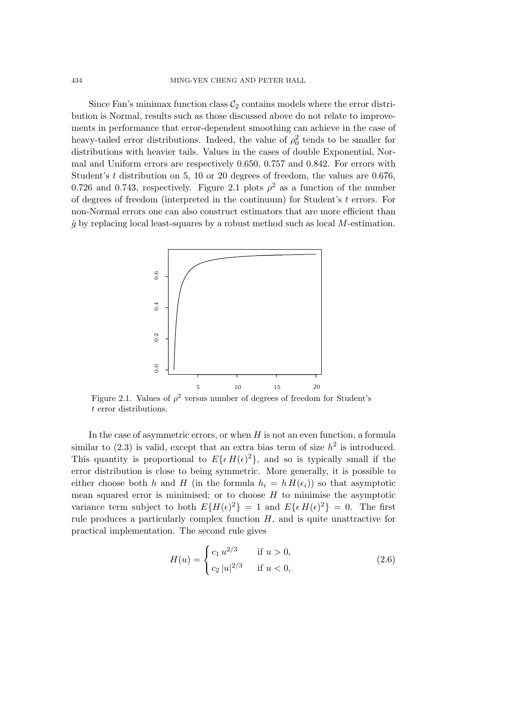Since Fan's minimax function class  $C_2$  contains models where the error distribution is Normal, results such as those discussed above do not relate to improvements in performance that error-dependent smoothing can achieve in the case of heavy-tailed error distributions. Indeed, the value of  $\rho_0^2$  tends to be smaller for distributions with heavier tails. Values in the cases of double Exponential, Normal and Uniform errors are respectively 0.650, 0.757 and 0.842. For errors with Student's t distribution on 5, 10 or 20 degrees of freedom, the values are 0.676, 0.726 and 0.743, respectively. Figure 2.1 plots  $\rho^2$  as a function of the number of degrees of freedom (interpreted in the continuum) for Student's t errors. For non-Normal errors one can also construct estimators that are more efficient than  $\hat{q}$  by replacing local least-squares by a robust method such as local M-estimation.



Figure 2.1. Values of  $\rho^2$  versus number of degrees of freedom for Student's t error distributions.

In the case of asymmetric errors, or when  $H$  is not an even function, a formula similar to  $(2.3)$  is valid, except that an extra bias term of size  $h^2$  is introduced. This quantity is proportional to  $E\{\epsilon H(\epsilon)^2\}$ , and so is typically small if the error distribution is close to being symmetric. More generally, it is possible to either choose both h and H (in the formula  $h_i = h H(\epsilon_i)$ ) so that asymptotic mean squared error is minimised; or to choose  $H$  to minimise the asymptotic variance term subject to both  $E\{H(\epsilon)^2\} = 1$  and  $E\{\epsilon H(\epsilon)^2\} = 0$ . The first rule produces a particularly complex function  $H$ , and is quite unattractive for practical implementation. The second rule gives

$$
H(u) = \begin{cases} c_1 u^{2/3} & \text{if } u > 0, \\ c_2 |u|^{2/3} & \text{if } u < 0, \end{cases}
$$
 (2.6)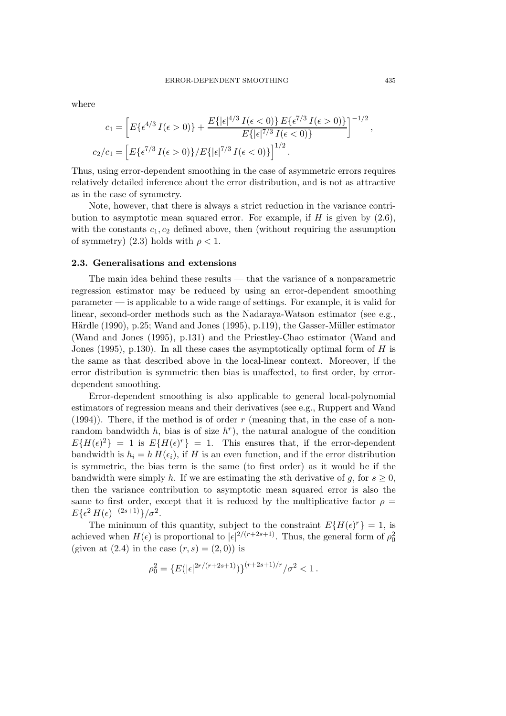where

$$
c_1 = \left[ E\{\epsilon^{4/3} I(\epsilon > 0)\} + \frac{E\{|\epsilon|^{4/3} I(\epsilon < 0)\} E\{\epsilon^{7/3} I(\epsilon > 0)\}}{E\{|\epsilon|^{7/3} I(\epsilon < 0)\}} \right]^{-1/2},
$$
  

$$
c_2/c_1 = \left[ E\{\epsilon^{7/3} I(\epsilon > 0)\} / E\{|\epsilon|^{7/3} I(\epsilon < 0)\} \right]^{1/2}.
$$

Thus, using error-dependent smoothing in the case of asymmetric errors requires relatively detailed inference about the error distribution, and is not as attractive as in the case of symmetry.

Note, however, that there is always a strict reduction in the variance contribution to asymptotic mean squared error. For example, if  $H$  is given by  $(2.6)$ , with the constants  $c_1, c_2$  defined above, then (without requiring the assumption of symmetry) (2.3) holds with  $\rho < 1$ .

#### **2.3. Generalisations and extensions**

The main idea behind these results — that the variance of a nonparametric regression estimator may be reduced by using an error-dependent smoothing parameter — is applicable to a wide range of settings. For example, it is valid for linear, second-order methods such as the Nadaraya-Watson estimator (see e.g., Härdle (1990), p.25; Wand and Jones (1995), p.119), the Gasser-Müller estimator (Wand and Jones (1995), p.131) and the Priestley-Chao estimator (Wand and Jones (1995), p.130). In all these cases the asymptotically optimal form of  $H$  is the same as that described above in the local-linear context. Moreover, if the error distribution is symmetric then bias is unaffected, to first order, by errordependent smoothing.

Error-dependent smoothing is also applicable to general local-polynomial estimators of regression means and their derivatives (see e.g., Ruppert and Wand  $(1994)$ ). There, if the method is of order r (meaning that, in the case of a nonrandom bandwidth h, bias is of size  $h<sup>r</sup>$ , the natural analogue of the condition  $E\{H(\epsilon)^2\} = 1$  is  $E\{H(\epsilon)^r\} = 1$ . This ensures that, if the error-dependent bandwidth is  $h_i = h H(\epsilon_i)$ , if H is an even function, and if the error distribution is symmetric, the bias term is the same (to first order) as it would be if the bandwidth were simply h. If we are estimating the sth derivative of g, for  $s \geq 0$ , then the variance contribution to asymptotic mean squared error is also the same to first order, except that it is reduced by the multiplicative factor  $\rho =$  $E\{\epsilon^2 H(\epsilon)^{-(2s+1)}\}/\sigma^2$ .

The minimum of this quantity, subject to the constraint  $E\{H(\epsilon)^r\} = 1$ , is achieved when  $H(\epsilon)$  is proportional to  $|\epsilon|^{2/(r+2s+1)}$ . Thus, the general form of  $\rho_0^2$ (given at  $(2.4)$  in the case  $(r, s) = (2, 0)$ ) is

$$
\rho_0^2 = \{ E(|\epsilon|^{2r/(r+2s+1)}) \}^{(r+2s+1)/r} / \sigma^2 < 1.
$$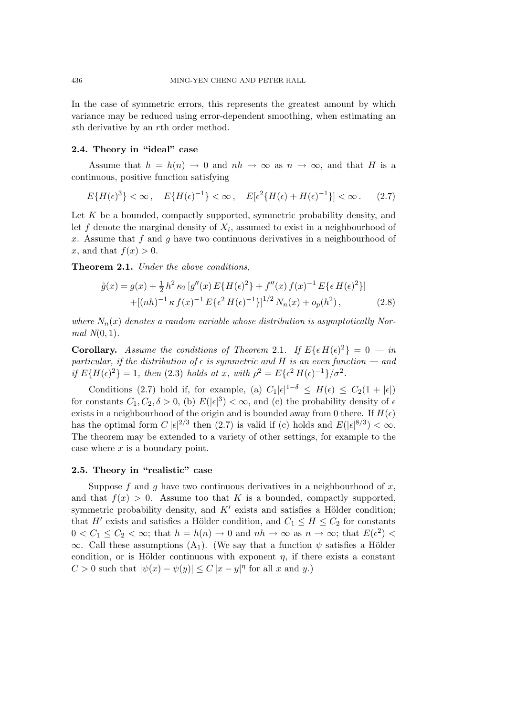In the case of symmetric errors, this represents the greatest amount by which variance may be reduced using error-dependent smoothing, when estimating an sth derivative by an rth order method.

# **2.4. Theory in "ideal" case**

Assume that  $h = h(n) \to 0$  and  $nh \to \infty$  as  $n \to \infty$ , and that H is a continuous, positive function satisfying

$$
E\{H(\epsilon)^3\} < \infty \,, \quad E\{H(\epsilon)^{-1}\} < \infty \,, \quad E[\epsilon^2\{H(\epsilon) + H(\epsilon)^{-1}\}] < \infty \,. \tag{2.7}
$$

Let K be a bounded, compactly supported, symmetric probability density, and let f denote the marginal density of  $X_i$ , assumed to exist in a neighbourhood of x. Assume that f and g have two continuous derivatives in a neighbourhood of x, and that  $f(x) > 0$ .

**Theorem 2.1.** *Under the above conditions,*

$$
\hat{g}(x) = g(x) + \frac{1}{2} h^2 \kappa_2 \left[ g''(x) E\{H(\epsilon)^2\} + f''(x) f(x)^{-1} E\{\epsilon H(\epsilon)^2\} \right] \n+ \left[ (nh)^{-1} \kappa f(x)^{-1} E\{\epsilon^2 H(\epsilon)^{-1}\} \right]^{1/2} N_n(x) + o_p(h^2),
$$
\n(2.8)

where  $N_n(x)$  denotes a random variable whose distribution is asymptotically Nor*mal N*(0, 1)*.*

**Corollary.** Assume the conditions of Theorem 2.1. If  $E\{\epsilon H(\epsilon)^2\} = 0 - in$ *particular, if the distribution of*  $\epsilon$  *is symmetric and* H *is an even function — and if*  $E\{H(\epsilon)^2\} = 1$ *, then* (2.3) *holds at* x*, with*  $\rho^2 = E\{\epsilon^2 H(\epsilon)^{-1}\}/\sigma^2$ .

Conditions (2.7) hold if, for example, (a)  $C_1|\epsilon|^{1-\delta} \leq H(\epsilon) \leq C_2(1+|\epsilon|)$ for constants  $C_1, C_2, \delta > 0$ , (b)  $E(|\epsilon|^3) < \infty$ , and (c) the probability density of  $\epsilon$ exists in a neighbourhood of the origin and is bounded away from 0 there. If  $H(\epsilon)$ has the optimal form  $C |\epsilon|^{2/3}$  then (2.7) is valid if (c) holds and  $E(|\epsilon|^{8/3}) < \infty$ . The theorem may be extended to a variety of other settings, for example to the case where  $x$  is a boundary point.

## **2.5. Theory in "realistic" case**

Suppose f and q have two continuous derivatives in a neighbourhood of  $x$ , and that  $f(x) > 0$ . Assume too that K is a bounded, compactly supported, symmetric probability density, and  $K'$  exists and satisfies a Hölder condition; that H' exists and satisfies a Hölder condition, and  $C_1 \leq H \leq C_2$  for constants  $0 < C_1 \leq C_2 < \infty$ ; that  $h = h(n) \to 0$  and  $nh \to \infty$  as  $n \to \infty$ ; that  $E(\epsilon^2) <$  $\infty$ . Call these assumptions (A<sub>1</sub>). (We say that a function  $\psi$  satisfies a Hölder condition, or is Hölder continuous with exponent  $\eta$ , if there exists a constant C > 0 such that  $|\psi(x) - \psi(y)| \leq C |x - y|^{\eta}$  for all x and y.)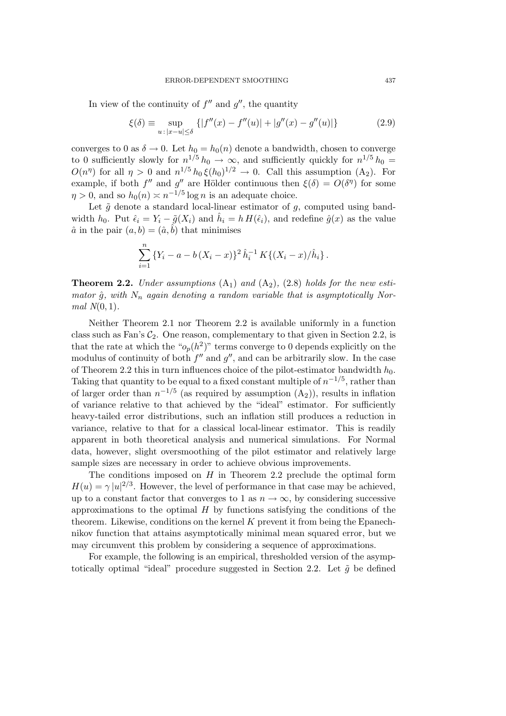In view of the continuity of  $f''$  and  $g''$ , the quantity

$$
\xi(\delta) \equiv \sup_{u \,:\, |x-u| \le \delta} \left\{ |f''(x) - f''(u)| + |g''(x) - g''(u)| \right\} \tag{2.9}
$$

converges to 0 as  $\delta \to 0$ . Let  $h_0 = h_0(n)$  denote a bandwidth, chosen to converge to 0 sufficiently slowly for  $n^{1/5} h_0 \rightarrow \infty$ , and sufficiently quickly for  $n^{1/5} h_0 =$  $O(n^{\eta})$  for all  $\eta > 0$  and  $n^{1/5} h_0 \xi(h_0)^{1/2} \to 0$ . Call this assumption  $(A_2)$ . For example, if both f'' and g'' are Hölder continuous then  $\xi(\delta) = O(\delta^{\eta})$  for some  $\eta > 0$ , and so  $h_0(n) \approx n^{-1/5} \log n$  is an adequate choice.

Let  $\tilde{g}$  denote a standard local-linear estimator of  $g$ , computed using bandwidth  $h_0$ . Put  $\hat{\epsilon}_i = Y_i - \tilde{g}(X_i)$  and  $\hat{h}_i = h H(\hat{\epsilon}_i)$ , and redefine  $\hat{g}(x)$  as the value  $\hat{a}$  in the pair  $(a, b) = (\hat{a}, \hat{b})$  that minimises

$$
\sum_{i=1}^{n} \{Y_i - a - b(X_i - x)\}^2 \hat{h}_i^{-1} K\{(X_i - x)/\hat{h}_i\}.
$$

**Theorem 2.2.** *Under assumptions*  $(A_1)$  *and*  $(A_2)$ *,* (2.8) *holds for the new estimator*  $\hat{q}$ *, with*  $N_n$  *again denoting a random variable that is asymptotically Normal N*(0, 1)*.*

Neither Theorem 2.1 nor Theorem 2.2 is available uniformly in a function class such as Fan's  $C_2$ . One reason, complementary to that given in Section 2.2, is that the rate at which the " $o_p(h^2)$ " terms converge to 0 depends explicitly on the modulus of continuity of both  $f''$  and  $g''$ , and can be arbitrarily slow. In the case of Theorem 2.2 this in turn influences choice of the pilot-estimator bandwidth  $h_0$ . Taking that quantity to be equal to a fixed constant multiple of  $n^{-1/5}$ , rather than of larger order than  $n^{-1/5}$  (as required by assumption  $(A_2)$ ), results in inflation of variance relative to that achieved by the "ideal" estimator. For sufficiently heavy-tailed error distributions, such an inflation still produces a reduction in variance, relative to that for a classical local-linear estimator. This is readily apparent in both theoretical analysis and numerical simulations. For Normal data, however, slight oversmoothing of the pilot estimator and relatively large sample sizes are necessary in order to achieve obvious improvements.

The conditions imposed on  $H$  in Theorem 2.2 preclude the optimal form  $H(u) = \gamma |u|^{2/3}$ . However, the level of performance in that case may be achieved, up to a constant factor that converges to 1 as  $n \to \infty$ , by considering successive approximations to the optimal  $H$  by functions satisfying the conditions of the theorem. Likewise, conditions on the kernel  $K$  prevent it from being the Epanechnikov function that attains asymptotically minimal mean squared error, but we may circumvent this problem by considering a sequence of approximations.

For example, the following is an empirical, thresholded version of the asymptotically optimal "ideal" procedure suggested in Section 2.2. Let  $\tilde{g}$  be defined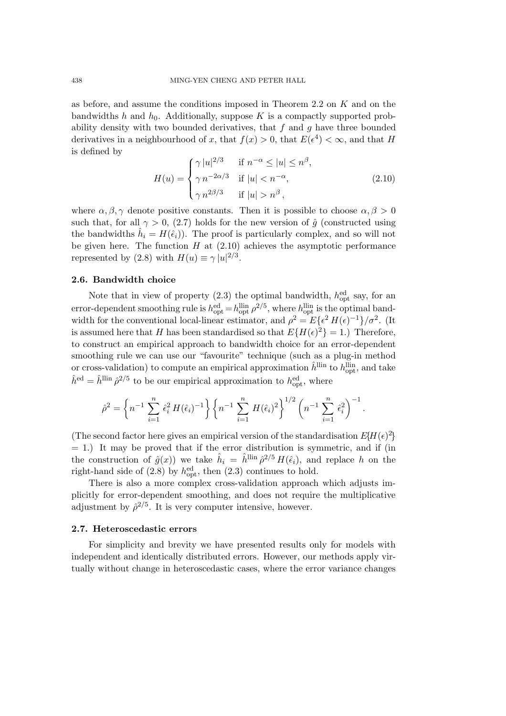as before, and assume the conditions imposed in Theorem 2.2 on K and on the bandwidths h and  $h_0$ . Additionally, suppose K is a compactly supported probability density with two bounded derivatives, that  $f$  and  $g$  have three bounded derivatives in a neighbourhood of x, that  $f(x) > 0$ , that  $E(\epsilon^4) < \infty$ , and that H is defined by

$$
H(u) = \begin{cases} \gamma |u|^{2/3} & \text{if } n^{-\alpha} \le |u| \le n^{\beta}, \\ \gamma n^{-2\alpha/3} & \text{if } |u| < n^{-\alpha}, \\ \gamma n^{2\beta/3} & \text{if } |u| > n^{\beta}, \end{cases} \tag{2.10}
$$

where  $\alpha, \beta, \gamma$  denote positive constants. Then it is possible to choose  $\alpha, \beta > 0$ such that, for all  $\gamma > 0$ , (2.7) holds for the new version of  $\hat{g}$  (constructed using the bandwidths  $h_i = H(\hat{\epsilon}_i)$ . The proof is particularly complex, and so will not be given here. The function  $H$  at  $(2.10)$  achieves the asymptotic performance represented by (2.8) with  $H(u) \equiv \gamma |u|^{2/3}$ .

# **2.6. Bandwidth choice**

Note that in view of property  $(2.3)$  the optimal bandwidth,  $h_{\text{opt}}^{\text{ed}}$  say, for an error-dependent smoothing rule is  $h_{\text{opt}}^{\text{ed}} = h_{\text{opt}}^{\text{llin}} \rho^{2/5}$ , where  $h_{\text{opt}}^{\text{lin}}$  is the optimal bandwidth for the conventional local-linear estimator, and  $\rho^2 = E\{\epsilon^2 H(\epsilon)^{-1}\}/\sigma^2$ . (It is assumed here that H has been standardised so that  $E\{H(\epsilon)^2\} = 1$ .) Therefore, to construct an empirical approach to bandwidth choice for an error-dependent smoothing rule we can use our "favourite" technique (such as a plug-in method or cross-validation) to compute an empirical approximation  $\hat{h}^{\text{lin}}$  to  $h^{\text{lin}}_{\text{opt}}$ , and take  $\hat{h}^{\text{ed}} = \hat{h}^{\text{llin}} \hat{\rho}^{2/5}$  to be our empirical approximation to  $h^{\text{ed}}_{\text{opt}}$ , where

$$
\hat{\rho}^2 = \left\{ n^{-1} \sum_{i=1}^n \hat{\epsilon}_i^2 H(\hat{\epsilon}_i)^{-1} \right\} \left\{ n^{-1} \sum_{i=1}^n H(\hat{\epsilon}_i)^2 \right\}^{1/2} \left( n^{-1} \sum_{i=1}^n \hat{\epsilon}_i^2 \right)^{-1}.
$$

(The second factor here gives an empirical version of the standardisation  $E\{H(\epsilon)^2\}$  $= 1$ .) It may be proved that if the error distribution is symmetric, and if (in the construction of  $\hat{g}(x)$  we take  $\hat{h}_i = \hat{h}^{\text{lin}} \hat{\rho}^{2/5} H(\hat{\epsilon}_i)$ , and replace h on the right-hand side of  $(2.8)$  by  $h_{\text{out}}^{\text{ed}}$ , then  $(2.3)$  continues to hold.

There is also a more complex cross-validation approach which adjusts implicitly for error-dependent smoothing, and does not require the multiplicative adjustment by  $\hat{\rho}^{2/5}$ . It is very computer intensive, however.

# **2.7. Heteroscedastic errors**

For simplicity and brevity we have presented results only for models with independent and identically distributed errors. However, our methods apply virtually without change in heteroscedastic cases, where the error variance changes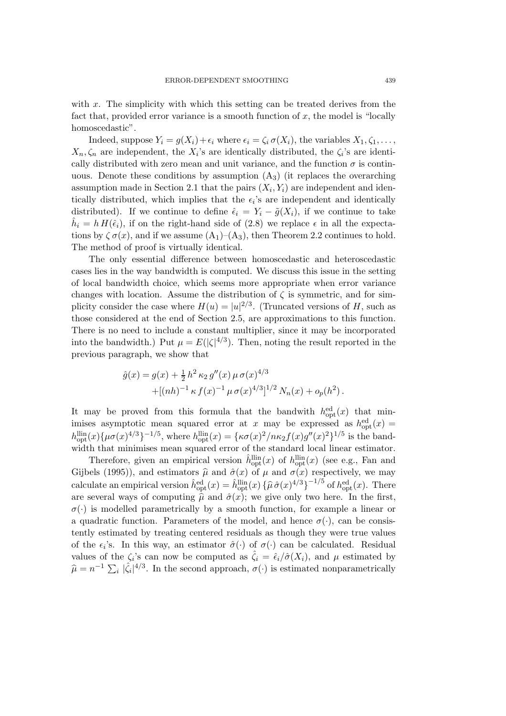with x. The simplicity with which this setting can be treated derives from the fact that, provided error variance is a smooth function of  $x$ , the model is "locally homoscedastic".

Indeed, suppose  $Y_i = g(X_i) + \epsilon_i$  where  $\epsilon_i = \zeta_i \sigma(X_i)$ , the variables  $X_1, \zeta_1, \ldots$ ,  $X_n, \zeta_n$  are independent, the  $X_i$ 's are identically distributed, the  $\zeta_i$ 's are identically distributed with zero mean and unit variance, and the function  $\sigma$  is continuous. Denote these conditions by assumption  $(A_3)$  (it replaces the overarching assumption made in Section 2.1 that the pairs  $(X_i, Y_i)$  are independent and identically distributed, which implies that the  $\epsilon_i$ 's are independent and identically distributed). If we continue to define  $\hat{\epsilon}_i = Y_i - \tilde{g}(X_i)$ , if we continue to take  $\hat{h}_i = h H(\hat{\epsilon}_i)$ , if on the right-hand side of (2.8) we replace  $\epsilon$  in all the expectations by  $\zeta \sigma(x)$ , and if we assume  $(A_1)$ – $(A_3)$ , then Theorem 2.2 continues to hold. The method of proof is virtually identical.

The only essential difference between homoscedastic and heteroscedastic cases lies in the way bandwidth is computed. We discuss this issue in the setting of local bandwidth choice, which seems more appropriate when error variance changes with location. Assume the distribution of  $\zeta$  is symmetric, and for simplicity consider the case where  $H(u) = |u|^{2/3}$ . (Truncated versions of H, such as those considered at the end of Section 2.5, are approximations to this function. There is no need to include a constant multiplier, since it may be incorporated into the bandwidth.) Put  $\mu = E(|\zeta|^{4/3})$ . Then, noting the result reported in the previous paragraph, we show that

$$
\begin{split} \hat{g}(x) &= g(x) + \tfrac{1}{2} \, h^2 \, \kappa_2 \, g''(x) \, \mu \, \sigma(x)^{4/3} \\ &\,+ [(nh)^{-1} \, \kappa \, f(x)^{-1} \, \mu \, \sigma(x)^{4/3}]^{1/2} \, N_n(x) + o_p(h^2) \,. \end{split}
$$

It may be proved from this formula that the bandwith  $h_{\text{opt}}^{\text{ed}}(x)$  that minimises asymptotic mean squared error at x may be expressed as  $h_{\text{opt}}^{\text{ed}}(x) =$  $h_{\text{opt}}^{\text{lin}}(x) \{\mu \sigma(x)^{4/3}\}^{-1/5}$ , where  $h_{\text{opt}}^{\text{lin}}(x) = \{\kappa \sigma(x)^2/n\kappa_2 f(x)g''(x)^2\}^{1/5}$  is the bandwidth that minimises mean squared error of the standard local linear estimator.

Therefore, given an empirical version  $\hat{h}^{\text{lin}}_{\text{opt}}(x)$  of  $h^{\text{lin}}_{\text{opt}}(x)$  (see e.g., Fan and Gijbels (1995)), and estimators  $\hat{\mu}$  and  $\hat{\sigma}(x)$  of  $\mu$  and  $\sigma(x)$  respectively, we may calculate an empirical version  $\hat{h}^{\text{ed}}_{\text{opt}}(x) = \hat{h}^{\text{lin}}_{\text{opt}}(x) \left\{ \hat{\mu} \hat{\sigma}(x)^{4/3} \right\}^{-1/5}$  of  $h^{\text{ed}}_{\text{opt}}(x)$ . There are several ways of computing  $\hat{\mu}$  and  $\hat{\sigma}(x)$ ; we give only two here. In the first,  $\sigma(\cdot)$  is modelled parametrically by a smooth function, for example a linear or a quadratic function. Parameters of the model, and hence  $\sigma(\cdot)$ , can be consistently estimated by treating centered residuals as though they were true values of the  $\epsilon_i$ 's. In this way, an estimator  $\hat{\sigma}(\cdot)$  of  $\sigma(\cdot)$  can be calculated. Residual values of the  $\zeta_i$ 's can now be computed as  $\hat{\zeta}_i = \hat{\epsilon}_i/\hat{\sigma}(X_i)$ , and  $\mu$  estimated by  $\hat{\mu} = n^{-1} \sum_i |\hat{\zeta}_i|^{4/3}$ . In the second approach,  $\sigma(\cdot)$  is estimated nonparametrically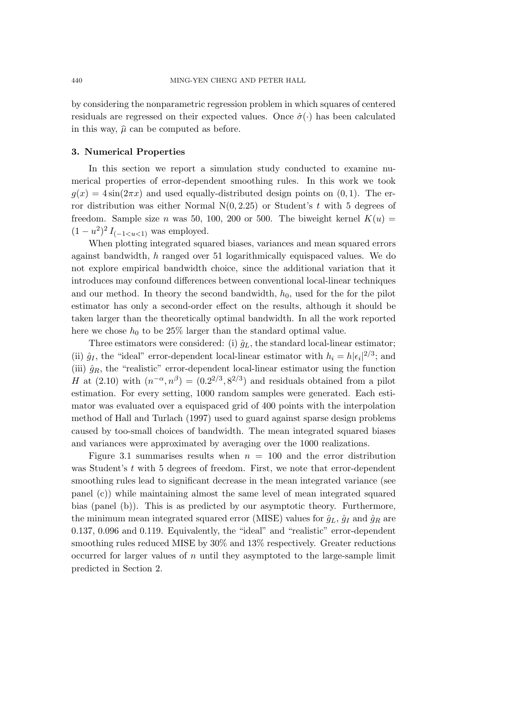by considering the nonparametric regression problem in which squares of centered residuals are regressed on their expected values. Once  $\hat{\sigma}(\cdot)$  has been calculated in this way,  $\hat{\mu}$  can be computed as before.

#### **3. Numerical Properties**

In this section we report a simulation study conducted to examine numerical properties of error-dependent smoothing rules. In this work we took  $g(x) = 4\sin(2\pi x)$  and used equally-distributed design points on  $(0, 1)$ . The error distribution was either Normal  $N(0, 2.25)$  or Student's t with 5 degrees of freedom. Sample size n was 50, 100, 200 or 500. The biweight kernel  $K(u)$  =  $(1 - u^2)^2 I_{(-1 \lt u \lt 1)}$  was employed.

When plotting integrated squared biases, variances and mean squared errors against bandwidth, h ranged over 51 logarithmically equispaced values. We do not explore empirical bandwidth choice, since the additional variation that it introduces may confound differences between conventional local-linear techniques and our method. In theory the second bandwidth,  $h_0$ , used for the for the pilot estimator has only a second-order effect on the results, although it should be taken larger than the theoretically optimal bandwidth. In all the work reported here we chose  $h_0$  to be 25% larger than the standard optimal value.

Three estimators were considered: (i)  $\hat{g}_L$ , the standard local-linear estimator; (ii)  $\hat{g}_I$ , the "ideal" error-dependent local-linear estimator with  $h_i = h|\epsilon_i|^{2/3}$ ; and (iii)  $\hat{g}_R$ , the "realistic" error-dependent local-linear estimator using the function H at (2.10) with  $(n^{-\alpha}, n^{\beta}) = (0.2^{2/3}, 8^{2/3})$  and residuals obtained from a pilot estimation. For every setting, 1000 random samples were generated. Each estimator was evaluated over a equispaced grid of 400 points with the interpolation method of Hall and Turlach (1997) used to guard against sparse design problems caused by too-small choices of bandwidth. The mean integrated squared biases and variances were approximated by averaging over the 1000 realizations.

Figure 3.1 summarises results when  $n = 100$  and the error distribution was Student's t with 5 degrees of freedom. First, we note that error-dependent smoothing rules lead to significant decrease in the mean integrated variance (see panel (c)) while maintaining almost the same level of mean integrated squared bias (panel (b)). This is as predicted by our asymptotic theory. Furthermore, the minimum mean integrated squared error (MISE) values for  $\hat{g}_L$ ,  $\hat{g}_I$  and  $\hat{g}_R$  are 0.137, 0.096 and 0.119. Equivalently, the "ideal" and "realistic" error-dependent smoothing rules reduced MISE by 30% and 13% respectively. Greater reductions occurred for larger values of  $n$  until they asymptoted to the large-sample limit predicted in Section 2.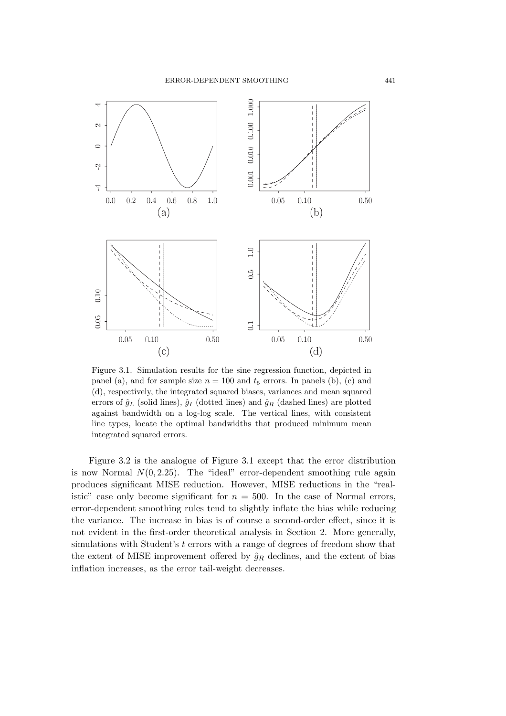

Figure 3.1. Simulation results for the sine regression function, depicted in panel (a), and for sample size  $n = 100$  and  $t_5$  errors. In panels (b), (c) and (d), respectively, the integrated squared biases, variances and mean squared errors of  $\hat{g}_L$  (solid lines),  $\hat{g}_I$  (dotted lines) and  $\hat{g}_R$  (dashed lines) are plotted against bandwidth on a log-log scale. The vertical lines, with consistent line types, locate the optimal bandwidths that produced minimum mean integrated squared errors.

Figure 3.2 is the analogue of Figure 3.1 except that the error distribution is now Normal  $N(0, 2.25)$ . The "ideal" error-dependent smoothing rule again produces significant MISE reduction. However, MISE reductions in the "realistic" case only become significant for  $n = 500$ . In the case of Normal errors, error-dependent smoothing rules tend to slightly inflate the bias while reducing the variance. The increase in bias is of course a second-order effect, since it is not evident in the first-order theoretical analysis in Section 2. More generally, simulations with Student's t errors with a range of degrees of freedom show that the extent of MISE improvement offered by  $\hat{g}_R$  declines, and the extent of bias inflation increases, as the error tail-weight decreases.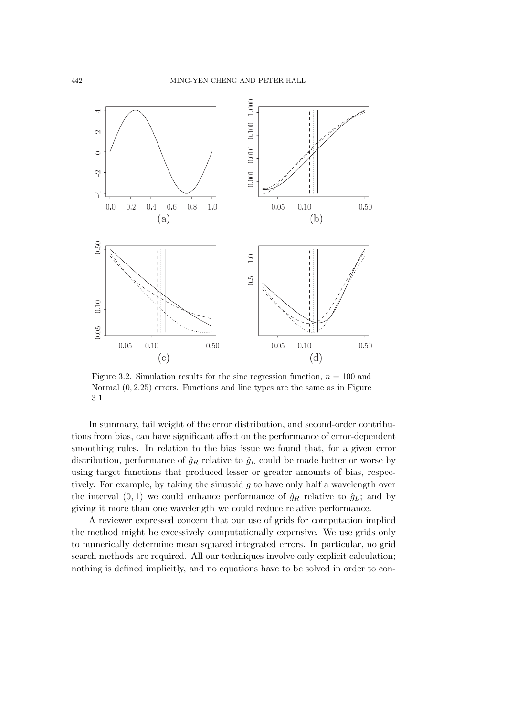

Figure 3.2. Simulation results for the sine regression function,  $n = 100$  and Normal (0, 2.25) errors. Functions and line types are the same as in Figure 3.1.

In summary, tail weight of the error distribution, and second-order contributions from bias, can have significant affect on the performance of error-dependent smoothing rules. In relation to the bias issue we found that, for a given error distribution, performance of  $\hat{g}_R$  relative to  $\hat{g}_L$  could be made better or worse by using target functions that produced lesser or greater amounts of bias, respectively. For example, by taking the sinusoid  $g$  to have only half a wavelength over the interval  $(0, 1)$  we could enhance performance of  $\hat{g}_R$  relative to  $\hat{g}_L$ ; and by giving it more than one wavelength we could reduce relative performance.

A reviewer expressed concern that our use of grids for computation implied the method might be excessively computationally expensive. We use grids only to numerically determine mean squared integrated errors. In particular, no grid search methods are required. All our techniques involve only explicit calculation; nothing is defined implicitly, and no equations have to be solved in order to con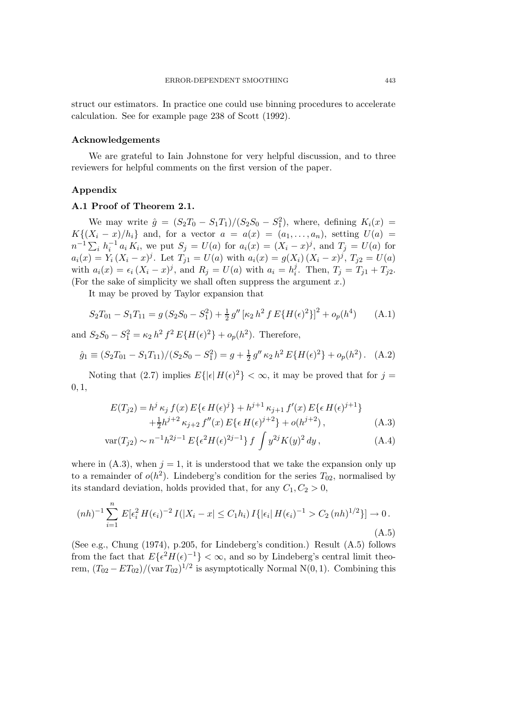struct our estimators. In practice one could use binning procedures to accelerate calculation. See for example page 238 of Scott (1992).

#### **Acknowledgements**

We are grateful to Iain Johnstone for very helpful discussion, and to three reviewers for helpful comments on the first version of the paper.

### **Appendix**

#### **A.1 Proof of Theorem 2.1.**

We may write  $\hat{g} = (S_2 T_0 - S_1 T_1)/(S_2 S_0 - S_1^2)$ , where, defining  $K_i(x) =$  $K\{(X_i-x)/h_i\}$  and, for a vector  $a = a(x) = (a_1,...,a_n)$ , setting  $U(a) =$  $n^{-1}\sum_i h_i^{-1}a_i K_i$ , we put  $S_j = U(a)$  for  $a_i(x)=(X_i-x)^j$ , and  $T_j = U(a)$  for  $a_i(x) = Y_i (X_i - x)^j$ . Let  $T_{j1} = U(a)$  with  $a_i(x) = g(X_i)(X_i - x)^j$ ,  $T_{j2} = U(a)$ with  $a_i(x) = \epsilon_i (X_i - x)^j$ , and  $R_j = U(a)$  with  $a_i = h_i^j$ . Then,  $T_j = T_{j1} + T_{j2}$ . (For the sake of simplicity we shall often suppress the argument  $x$ .)

It may be proved by Taylor expansion that

$$
S_2T_{01} - S_1T_{11} = g(S_2S_0 - S_1^2) + \frac{1}{2}g''[\kappa_2 h^2 f E\{H(\epsilon)^2\}]^2 + o_p(h^4)
$$
 (A.1)

and  $S_2S_0 - S_1^2 = \kappa_2 h^2 f^2 E\{H(\epsilon)^2\} + o_p(h^2)$ . Therefore,

$$
\hat{g}_1 \equiv (S_2 T_{01} - S_1 T_{11})/(S_2 S_0 - S_1^2) = g + \frac{1}{2} g'' \kappa_2 h^2 E\{H(\epsilon)^2\} + o_p(h^2).
$$
 (A.2)

Noting that (2.7) implies  $E\{|\epsilon|H(\epsilon)^2\} < \infty$ , it may be proved that for  $j =$  $0.1$ 

$$
E(T_{j2}) = h^j \kappa_j f(x) E\{ \epsilon H(\epsilon)^j \} + h^{j+1} \kappa_{j+1} f'(x) E\{ \epsilon H(\epsilon)^{j+1} \} + \frac{1}{2} h^{j+2} \kappa_{j+2} f''(x) E\{ \epsilon H(\epsilon)^{j+2} \} + o(h^{j+2}),
$$
 (A.3)

$$
\text{var}(T_{j2}) \sim n^{-1}h^{2j-1} E\{\epsilon^2 H(\epsilon)^{2j-1}\} f \int y^{2j} K(y)^2 dy , \qquad (A.4)
$$

where in  $(A.3)$ , when  $j = 1$ , it is understood that we take the expansion only up to a remainder of  $o(h^2)$ . Lindeberg's condition for the series  $T_{02}$ , normalised by its standard deviation, holds provided that, for any  $C_1, C_2 > 0$ ,

$$
(nh)^{-1} \sum_{i=1}^{n} E[\epsilon_i^2 H(\epsilon_i)^{-2} I(|X_i - x| \le C_1 h_i) I\{|\epsilon_i| H(\epsilon_i)^{-1} > C_2 (nh)^{1/2}\}] \to 0.
$$
\n(A.5)

(See e.g., Chung (1974), p.205, for Lindeberg's condition.) Result (A.5) follows from the fact that  $E\{\epsilon^2 H(\epsilon)^{-1}\} < \infty$ , and so by Lindeberg's central limit theorem,  $(T_{02} - ET_{02})/(\text{var } T_{02})^{1/2}$  is asymptotically Normal N(0, 1). Combining this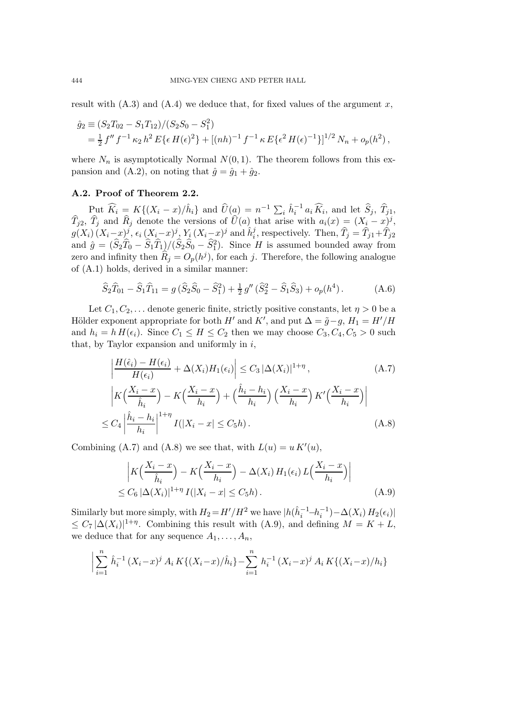result with  $(A.3)$  and  $(A.4)$  we deduce that, for fixed values of the argument x,

$$
\hat{g}_2 \equiv (S_2 T_{02} - S_1 T_{12})/(S_2 S_0 - S_1^2) \n= \frac{1}{2} f'' f^{-1} \kappa_2 h^2 E\{ \epsilon H(\epsilon)^2 \} + [(nh)^{-1} f^{-1} \kappa E\{ \epsilon^2 H(\epsilon)^{-1} \}]^{1/2} N_n + o_p(h^2) ,
$$

where  $N_n$  is asymptotically Normal  $N(0, 1)$ . The theorem follows from this expansion and (A.2), on noting that  $\hat{g} = \hat{g}_1 + \hat{g}_2$ .

# **A.2. Proof of Theorem 2.2.**

Put  $\widehat{K}_i = K\{(X_i - x)/\hat{h}_i\}$  and  $\widehat{U}(\underline{a}) = n^{-1} \sum_i \hat{h}_i^{-1} a_i \widehat{K}_i$ , and let  $\widehat{S}_j$ ,  $\widehat{T}_{j1}$ ,  $\hat{T}_{j2}, \hat{T}_j$  and  $\hat{R}_j$  denote the versions of  $\hat{U}(a)$  that arise with  $a_i(x)=(X_i-x)^j$ ,  $g(X_i)(X_i-x)^j$ ,  $\epsilon_i (X_i-x)^j$ ,  $Y_i (X_i-x)^j$  and  $\hat{h}_i^j$ , respectively. Then,  $\hat{T}_j = \hat{T}_{j1} + \hat{T}_{j2}$ and  $\hat{g} = (\hat{S}_2 \hat{T}_0 - \hat{S}_1 \hat{T}_1)/(\hat{S}_2 \hat{S}_0 - \hat{S}_1^2)$ . Since H is assumed bounded away from zero and infinity then  $\hat{R}_j = O_p(h^j)$ , for each j. Therefore, the following analogue of (A.1) holds, derived in a similar manner:

$$
\widehat{S}_2 \widehat{T}_{01} - \widehat{S}_1 \widehat{T}_{11} = g \left( \widehat{S}_2 \widehat{S}_0 - \widehat{S}_1^2 \right) + \frac{1}{2} g'' \left( \widehat{S}_2^2 - \widehat{S}_1 \widehat{S}_3 \right) + o_p(h^4).
$$
 (A.6)

Let  $C_1, C_2, \ldots$  denote generic finite, strictly positive constants, let  $\eta > 0$  be a Hölder exponent appropriate for both  $H'$  and  $K'$ , and put  $\Delta = \tilde{g} - g$ ,  $H_1 = H'/H$ and  $h_i = h H(\epsilon_i)$ . Since  $C_1 \leq H \leq C_2$  then we may choose  $C_3, C_4, C_5 > 0$  such that, by Taylor expansion and uniformly in  $i$ ,

$$
\left| \frac{H(\hat{\epsilon}_{i}) - H(\epsilon_{i})}{H(\epsilon_{i})} + \Delta(X_{i})H_{1}(\epsilon_{i}) \right| \leq C_{3} |\Delta(X_{i})|^{1+\eta}, \qquad (A.7)
$$
\n
$$
\left| K\left(\frac{X_{i} - x}{\hat{h}_{i}}\right) - K\left(\frac{X_{i} - x}{h_{i}}\right) + \left(\frac{\hat{h}_{i} - h_{i}}{h_{i}}\right) \left(\frac{X_{i} - x}{h_{i}}\right) K'\left(\frac{X_{i} - x}{h_{i}}\right) \right|
$$
\n
$$
\leq C_{4} \left| \frac{\hat{h}_{i} - h_{i}}{h_{i}} \right|^{1+\eta} I(|X_{i} - x| \leq C_{5}h). \qquad (A.8)
$$

Combining (A.7) and (A.8) we see that, with  $L(u) = u K'(u)$ ,

$$
\left| K\left(\frac{X_i - x}{\hat{h}_i}\right) - K\left(\frac{X_i - x}{h_i}\right) - \Delta(X_i) H_1(\epsilon_i) L\left(\frac{X_i - x}{h_i}\right) \right|
$$
  
\n
$$
\leq C_6 |\Delta(X_i)|^{1+\eta} I(|X_i - x| \leq C_5 h).
$$
\n(A.9)

Similarly but more simply, with  $H_2 = H'/H^2$  we have  $|h(\hat{h}_i^{-1} - h_i^{-1}) - \Delta(X_i) H_2(\epsilon_i)|$  $\leq C_7 |\Delta(X_i)|^{1+\eta}$ . Combining this result with (A.9), and defining  $M = K + L$ , we deduce that for any sequence  $A_1, \ldots, A_n$ ,

$$
\left| \sum_{i=1}^{n} \hat{h}_i^{-1} (X_i - x)^j A_i K \{(X_i - x)/\hat{h}_i\} - \sum_{i=1}^{n} h_i^{-1} (X_i - x)^j A_i K \{(X_i - x)/h_i\}
$$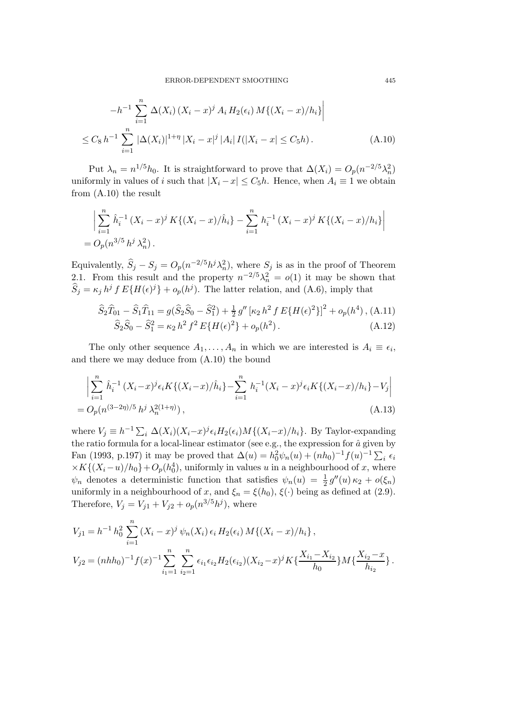$$
-h^{-1} \sum_{i=1}^{n} \Delta(X_i) (X_i - x)^j A_i H_2(\epsilon_i) M\{(X_i - x)/h_i\} \Big|
$$
  

$$
\leq C_8 h^{-1} \sum_{i=1}^{n} |\Delta(X_i)|^{1+\eta} |X_i - x|^j |A_i| I(|X_i - x| \leq C_5 h).
$$
 (A.10)

Put  $\lambda_n = n^{1/5}h_0$ . It is straightforward to prove that  $\Delta(X_i) = O_p(n^{-2/5}\lambda_n^2)$ uniformly in values of i such that  $|X_i - x| \leq C_5 h$ . Hence, when  $A_i \equiv 1$  we obtain from (A.10) the result

$$
\left| \sum_{i=1}^{n} \hat{h}_i^{-1} (X_i - x)^j K \{ (X_i - x) / \hat{h}_i \} - \sum_{i=1}^{n} h_i^{-1} (X_i - x)^j K \{ (X_i - x) / h_i \} \right|
$$
  
=  $O_p(n^{3/5} h^j \lambda_n^2).$ 

Equivalently,  $\widehat{S}_j - S_j = O_p(n^{-2/5}h^j\lambda_n^2)$ , where  $S_j$  is as in the proof of Theorem 2.1. From this result and the property  $n^{-2/5}\lambda_n^2 = o(1)$  it may be shown that  $S_j = \kappa_j h^j f E\{H(\epsilon)^j\} + o_p(h^j)$ . The latter relation, and (A.6), imply that

$$
\hat{S}_2 \hat{T}_{01} - \hat{S}_1 \hat{T}_{11} = g(\hat{S}_2 \hat{S}_0 - \hat{S}_1^2) + \frac{1}{2} g'' \left[ \kappa_2 h^2 f E \{ H(\epsilon)^2 \} \right]^2 + o_p(h^4), \text{(A.11)}
$$
  

$$
\hat{S}_2 \hat{S}_0 - \hat{S}_1^2 = \kappa_2 h^2 f^2 E \{ H(\epsilon)^2 \} + o_p(h^2).
$$
 (A.12)

The only other sequence  $A_1, \ldots, A_n$  in which we are interested is  $A_i \equiv \epsilon_i$ , and there we may deduce from (A.10) the bound

$$
\left| \sum_{i=1}^{n} \hat{h}_i^{-1} (X_i - x)^j \epsilon_i K \{ (X_i - x) / \hat{h}_i \} - \sum_{i=1}^{n} h_i^{-1} (X_i - x)^j \epsilon_i K \{ (X_i - x) / h_i \} - V_j \right|
$$
  
=  $O_p(n^{(3-2\eta)/5} h^j \lambda_n^{2(1+\eta)})$ , (A.13)

where  $V_j \equiv h^{-1} \sum_i \Delta(X_i) (X_i - x)^j \epsilon_i H_2(\epsilon_i) M\{(X_i - x)/h_i\}$ . By Taylor-expanding the ratio formula for a local-linear estimator (see e.g., the expression for  $\hat{a}$  given by Fan (1993, p.197) it may be proved that  $\Delta(u) = h_0^2 \psi_n(u) + (nh_0)^{-1} f(u)^{-1} \sum_i \epsilon_i$  $\times K\{(X_i-u)/h_0\}+O_p(h_0^4)$ , uniformly in values u in a neighbourhood of x, where  $\psi_n$  denotes a deterministic function that satisfies  $\psi_n(u) = \frac{1}{2} g''(u) \kappa_2 + o(\xi_n)$ uniformly in a neighbourhood of x, and  $\xi_n = \xi(h_0), \xi(\cdot)$  being as defined at (2.9). Therefore,  $V_j = V_{j1} + V_{j2} + o_p(n^{3/5}h^j)$ , where

$$
V_{j1} = h^{-1} h_0^2 \sum_{i=1}^n (X_i - x)^j \psi_n(X_i) \epsilon_i H_2(\epsilon_i) M\{(X_i - x)/h_i\},
$$
  
\n
$$
V_{j2} = (nhh_0)^{-1} f(x)^{-1} \sum_{i_1=1}^n \sum_{i_2=1}^n \epsilon_{i_1} \epsilon_{i_2} H_2(\epsilon_{i_2}) (X_{i_2} - x)^j K\{\frac{X_{i_1} - X_{i_2}}{h_0}\} M\{\frac{X_{i_2} - x}{h_{i_2}}\}.
$$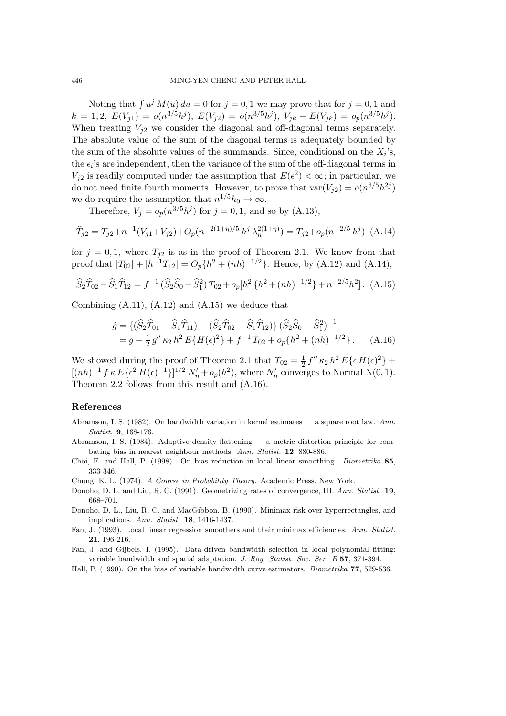Noting that  $\int u^j M(u) du = 0$  for  $j = 0, 1$  we may prove that for  $j = 0, 1$  and  $k = 1, 2, E(V_{j1}) = o(n^{3/5}h^{j}), E(V_{j2}) = o(n^{3/5}h^{j}), V_{jk} - E(V_{jk}) = o_p(n^{3/5}h^{j}).$ When treating  $V_{i2}$  we consider the diagonal and off-diagonal terms separately. The absolute value of the sum of the diagonal terms is adequately bounded by the sum of the absolute values of the summands. Since, conditional on the  $X_i$ 's, the  $\epsilon_i$ 's are independent, then the variance of the sum of the off-diagonal terms in  $V_{j2}$  is readily computed under the assumption that  $E(\epsilon^2) < \infty$ ; in particular, we do not need finite fourth moments. However, to prove that  $var(V_{i2}) = o(n^{6/5}h^{2j})$ we do require the assumption that  $n^{1/5}h_0 \to \infty$ .

Therefore,  $V_j = o_p(n^{3/5}h^j)$  for  $j = 0, 1$ , and so by (A.13),

$$
\widehat{T}_{j2} = T_{j2} + n^{-1}(V_{j1} + V_{j2}) + O_p(n^{-2(1+\eta)/5} h^j \lambda_n^{2(1+\eta)}) = T_{j2} + o_p(n^{-2/5} h^j)
$$
 (A.14)

for  $j = 0, 1$ , where  $T_{j2}$  is as in the proof of Theorem 2.1. We know from that proof that  $|T_{02}| + |h^{-1}T_{12}| = O_p\{h^2 + (nh)^{-1/2}\}\.$  Hence, by (A.12) and (A.14),

$$
\widehat{S}_2 \widehat{T}_{02} - \widehat{S}_1 \widehat{T}_{12} = f^{-1} \left( \widehat{S}_2 \widehat{S}_0 - \widehat{S}_1^2 \right) T_{02} + o_p \left[ h^2 \left\{ h^2 + (nh)^{-1/2} \right\} + n^{-2/5} h^2 \right]. \tag{A.15}
$$

Combining  $(A.11)$ ,  $(A.12)$  and  $(A.15)$  we deduce that

$$
\hat{g} = \{ (\hat{S}_2 \hat{T}_{01} - \hat{S}_1 \hat{T}_{11}) + (\hat{S}_2 \hat{T}_{02} - \hat{S}_1 \hat{T}_{12}) \} (\hat{S}_2 \hat{S}_0 - \hat{S}_1^2)^{-1} \n= g + \frac{1}{2} g'' \kappa_2 h^2 E \{ H(\epsilon)^2 \} + f^{-1} T_{02} + o_p \{ h^2 + (nh)^{-1/2} \}.
$$
\n(A.16)

We showed during the proof of Theorem 2.1 that  $T_{02} = \frac{1}{2} f'' \kappa_2 h^2 E\{\epsilon H(\epsilon)^2\} +$  $[(nh)^{-1} f \kappa E\{\epsilon^2 H(\epsilon)^{-1}\}]^{1/2} N'_n + o_p(h^2)$ , where  $N'_n$  converges to Normal N(0, 1). Theorem 2.2 follows from this result and (A.16).

# **References**

- Abramson, I. S. (1982). On bandwidth variation in kernel estimates a square root law. *Ann. Statist.* **9**, 168-176.
- Abramson, I. S. (1984). Adaptive density flattening a metric distortion principle for combating bias in nearest neighbour methods. *Ann. Statist.* **12**, 880-886.
- Choi, E. and Hall, P. (1998). On bias reduction in local linear smoothing. *Biometrika* **85**, 333-346.

Chung, K. L. (1974). *A Course in Probability Theory.* Academic Press, New York.

- Donoho, D. L. and Liu, R. C. (1991). Geometrizing rates of convergence, III. *Ann. Statist.* **19**, 668–701.
- Donoho, D. L., Liu, R. C. and MacGibbon, B. (1990). Minimax risk over hyperrectangles, and implications. *Ann. Statist.* **18**, 1416-1437.
- Fan, J. (1993). Local linear regression smoothers and their minimax efficiencies. *Ann. Statist.* **21**, 196-216.
- Fan, J. and Gijbels, I. (1995). Data-driven bandwidth selection in local polynomial fitting: variable bandwidth and spatial adaptation. *J. Roy. Statist. Soc. Ser. B* **57**, 371-394.
- Hall, P. (1990). On the bias of variable bandwidth curve estimators. *Biometrika* **77**, 529-536.